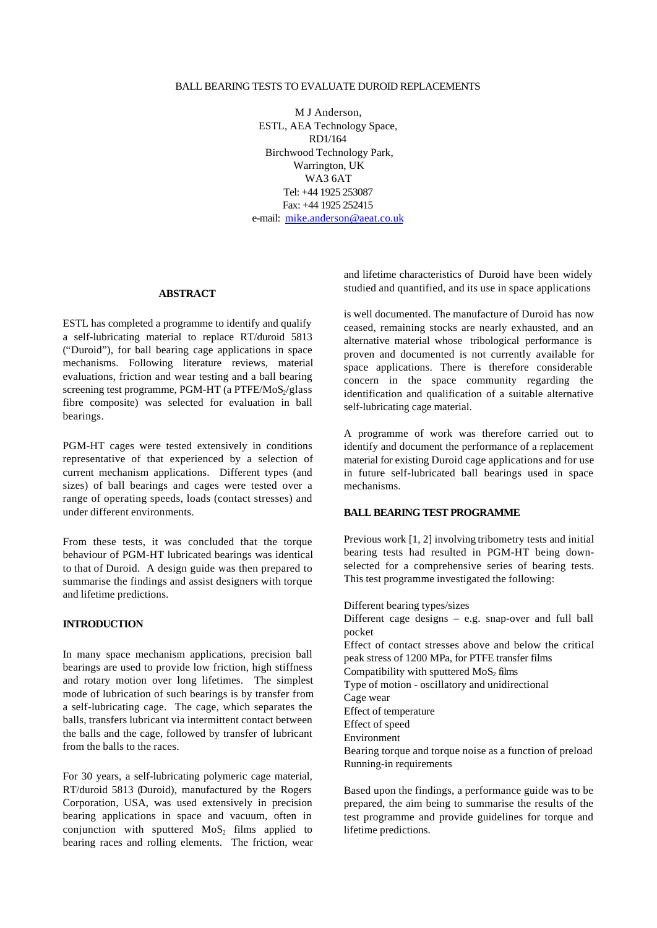#### BALL BEARING TESTS TO EVALUATE DUROID REPLACEMENTS

M J Anderson, ESTL, AEA Technology Space, RD1/164 Birchwood Technology Park, Warrington, UK WA3 6AT Tel: +44 1925 253087 Fax: +44 1925 252415 e-mail: mike.anderson@aeat.co.uk

#### **ABSTRACT**

ESTL has completed a programme to identify and qualify a self-lubricating material to replace RT/duroid 5813 ("Duroid"), for ball bearing cage applications in space mechanisms. Following literature reviews, material evaluations, friction and wear testing and a ball bearing screening test programme, PGM-HT (a PTFE/MoS $/$ glass fibre composite) was selected for evaluation in ball bearings.

PGM-HT cages were tested extensively in conditions representative of that experienced by a selection of current mechanism applications. Different types (and sizes) of ball bearings and cages were tested over a range of operating speeds, loads (contact stresses) and under different environments.

From these tests, it was concluded that the torque behaviour of PGM-HT lubricated bearings was identical to that of Duroid. A design guide was then prepared to summarise the findings and assist designers with torque and lifetime predictions.

### **INTRODUCTION**

In many space mechanism applications, precision ball bearings are used to provide low friction, high stiffness and rotary motion over long lifetimes. The simplest mode of lubrication of such bearings is by transfer from a self-lubricating cage. The cage, which separates the balls, transfers lubricant via intermittent contact between the balls and the cage, followed by transfer of lubricant from the balls to the races.

For 30 years, a self-lubricating polymeric cage material, RT/duroid 5813 (Duroid), manufactured by the Rogers Corporation, USA, was used extensively in precision bearing applications in space and vacuum, often in conjunction with sputtered  $MoS<sub>2</sub>$  films applied to bearing races and rolling elements. The friction, wear and lifetime characteristics of Duroid have been widely studied and quantified, and its use in space applications

is well documented. The manufacture of Duroid has now ceased, remaining stocks are nearly exhausted, and an alternative material whose tribological performance is proven and documented is not currently available for space applications. There is therefore considerable concern in the space community regarding the identification and qualification of a suitable alternative self-lubricating cage material.

A programme of work was therefore carried out to identify and document the performance of a replacement material for existing Duroid cage applications and for use in future self-lubricated ball bearings used in space mechanisms.

#### **BALL BEARING TEST PROGRAMME**

Previous work [1, 2] involving tribometry tests and initial bearing tests had resulted in PGM-HT being downselected for a comprehensive series of bearing tests. This test programme investigated the following:

Different bearing types/sizes

Different cage designs – e.g. snap-over and full ball pocket Effect of contact stresses above and below the critical peak stress of 1200 MPa, for PTFE transfer films Compatibility with sputtered  $MoS<sub>2</sub>$  films Type of motion - oscillatory and unidirectional Cage wear Effect of temperature Effect of speed Environment Bearing torque and torque noise as a function of preload Running-in requirements

Based upon the findings, a performance guide was to be prepared, the aim being to summarise the results of the test programme and provide guidelines for torque and lifetime predictions.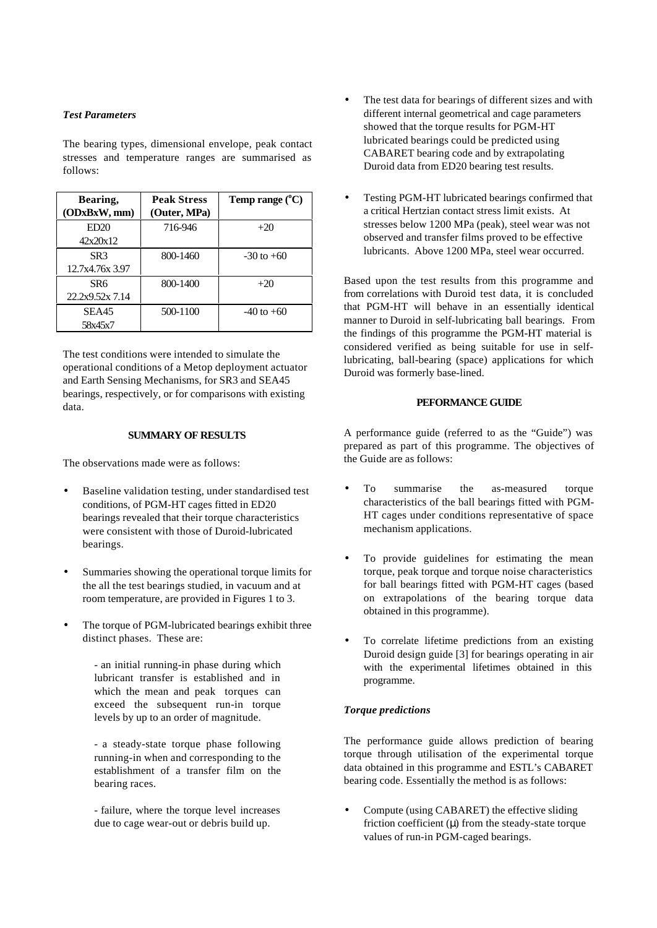## *Test Parameters*

The bearing types, dimensional envelope, peak contact stresses and temperature ranges are summarised as follows:

| Bearing,<br>(ODxBxW, mm) | <b>Peak Stress</b> | Temp range $(^{\circ}C)$ |
|--------------------------|--------------------|--------------------------|
|                          | (Outer, MPa)       |                          |
| ED20                     | 716-946            | $+20$                    |
| 42x20x12                 |                    |                          |
| SR <sub>3</sub>          | 800-1460           | $-30$ to $+60$           |
| 12.7x4.76x 3.97          |                    |                          |
| SR6                      | 800-1400           | $+20$                    |
| 22.2x9.52x 7.14          |                    |                          |
| SEA45                    | 500-1100           | $-40$ to $+60$           |
| 58x45x7                  |                    |                          |

The test conditions were intended to simulate the operational conditions of a Metop deployment actuator and Earth Sensing Mechanisms, for SR3 and SEA45 bearings, respectively, or for comparisons with existing data.

#### **SUMMARY OF RESULTS**

The observations made were as follows:

- Baseline validation testing, under standardised test conditions, of PGM-HT cages fitted in ED20 bearings revealed that their torque characteristics were consistent with those of Duroid-lubricated bearings.
- Summaries showing the operational torque limits for the all the test bearings studied, in vacuum and at room temperature, are provided in Figures 1 to 3.
- The torque of PGM-lubricated bearings exhibit three distinct phases. These are:
	- an initial running-in phase during which lubricant transfer is established and in which the mean and peak torques can exceed the subsequent run-in torque levels by up to an order of magnitude.

- a steady-state torque phase following running-in when and corresponding to the establishment of a transfer film on the bearing races.

- failure, where the torque level increases due to cage wear-out or debris build up.

- The test data for bearings of different sizes and with different internal geometrical and cage parameters showed that the torque results for PGM-HT lubricated bearings could be predicted using CABARET bearing code and by extrapolating Duroid data from ED20 bearing test results.
- Testing PGM-HT lubricated bearings confirmed that a critical Hertzian contact stress limit exists. At stresses below 1200 MPa (peak), steel wear was not observed and transfer films proved to be effective lubricants. Above 1200 MPa, steel wear occurred.

Based upon the test results from this programme and from correlations with Duroid test data, it is concluded that PGM-HT will behave in an essentially identical manner to Duroid in self-lubricating ball bearings. From the findings of this programme the PGM-HT material is considered verified as being suitable for use in selflubricating, ball-bearing (space) applications for which Duroid was formerly base-lined.

### **PEFORMANCE GUIDE**

A performance guide (referred to as the "Guide") was prepared as part of this programme. The objectives of the Guide are as follows:

- To summarise the as-measured torque characteristics of the ball bearings fitted with PGM-HT cages under conditions representative of space mechanism applications.
- To provide guidelines for estimating the mean torque, peak torque and torque noise characteristics for ball bearings fitted with PGM-HT cages (based on extrapolations of the bearing torque data obtained in this programme).
- To correlate lifetime predictions from an existing Duroid design guide [3] for bearings operating in air with the experimental lifetimes obtained in this programme.

#### *Torque predictions*

The performance guide allows prediction of bearing torque through utilisation of the experimental torque data obtained in this programme and ESTL's CABARET bearing code. Essentially the method is as follows:

• Compute (using CABARET) the effective sliding friction coefficient  $(\mu)$  from the steady-state torque values of run-in PGM-caged bearings.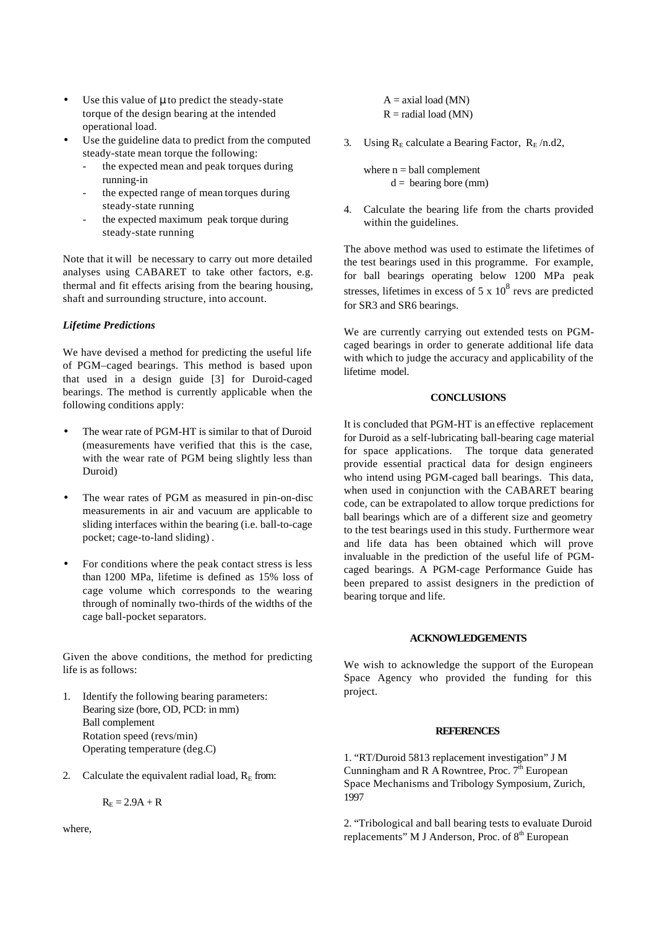- Use this value of μ to predict the steady-state torque of the design bearing at the intended operational load.
- Use the guideline data to predict from the computed steady-state mean torque the following:
	- the expected mean and peak torques during running-in
	- the expected range of mean torques during steady-state running
	- the expected maximum peak torque during steady-state running

Note that it will be necessary to carry out more detailed analyses using CABARET to take other factors, e.g. thermal and fit effects arising from the bearing housing, shaft and surrounding structure, into account.

## *Lifetime Predictions*

We have devised a method for predicting the useful life of PGM–caged bearings. This method is based upon that used in a design guide [3] for Duroid-caged bearings. The method is currently applicable when the following conditions apply:

- The wear rate of PGM-HT is similar to that of Duroid (measurements have verified that this is the case, with the wear rate of PGM being slightly less than Duroid)
- The wear rates of PGM as measured in pin-on-disc measurements in air and vacuum are applicable to sliding interfaces within the bearing (i.e. ball-to-cage pocket; cage-to-land sliding) .
- For conditions where the peak contact stress is less than 1200 MPa, lifetime is defined as 15% loss of cage volume which corresponds to the wearing through of nominally two-thirds of the widths of the cage ball-pocket separators.

Given the above conditions, the method for predicting life is as follows:

- 1. Identify the following bearing parameters: Bearing size (bore, OD, PCD: in mm) Ball complement Rotation speed (revs/min) Operating temperature (deg.C)
- 2. Calculate the equivalent radial load,  $R<sub>E</sub>$  from:

$$
R_E = 2.9A + R
$$

where,

- $A =$  axial load (MN)  $R =$  radial load (MN)
- 3. Using  $R_E$  calculate a Bearing Factor,  $R_E / n.d2$ ,

where  $n =$  ball complement  $d =$  bearing bore (mm)

4. Calculate the bearing life from the charts provided within the guidelines.

The above method was used to estimate the lifetimes of the test bearings used in this programme. For example, for ball bearings operating below 1200 MPa peak stresses, lifetimes in excess of  $5 \times 10^8$  revs are predicted for SR3 and SR6 bearings.

We are currently carrying out extended tests on PGMcaged bearings in order to generate additional life data with which to judge the accuracy and applicability of the lifetime model.

# **CONCLUSIONS**

It is concluded that PGM-HT is an effective replacement for Duroid as a self-lubricating ball-bearing cage material for space applications. The torque data generated provide essential practical data for design engineers who intend using PGM-caged ball bearings. This data, when used in conjunction with the CABARET bearing code, can be extrapolated to allow torque predictions for ball bearings which are of a different size and geometry to the test bearings used in this study. Furthermore wear and life data has been obtained which will prove invaluable in the prediction of the useful life of PGMcaged bearings. A PGM-cage Performance Guide has been prepared to assist designers in the prediction of bearing torque and life.

### **ACKNOWLEDGEMENTS**

We wish to acknowledge the support of the European Space Agency who provided the funding for this project.

### **REFERENCES**

1. "RT/Duroid 5813 replacement investigation" J M Cunningham and R A Rowntree, Proc.  $7<sup>th</sup>$  European Space Mechanisms and Tribology Symposium, Zurich, 1997

2. "Tribological and ball bearing tests to evaluate Duroid replacements" M J Anderson, Proc. of 8<sup>th</sup> European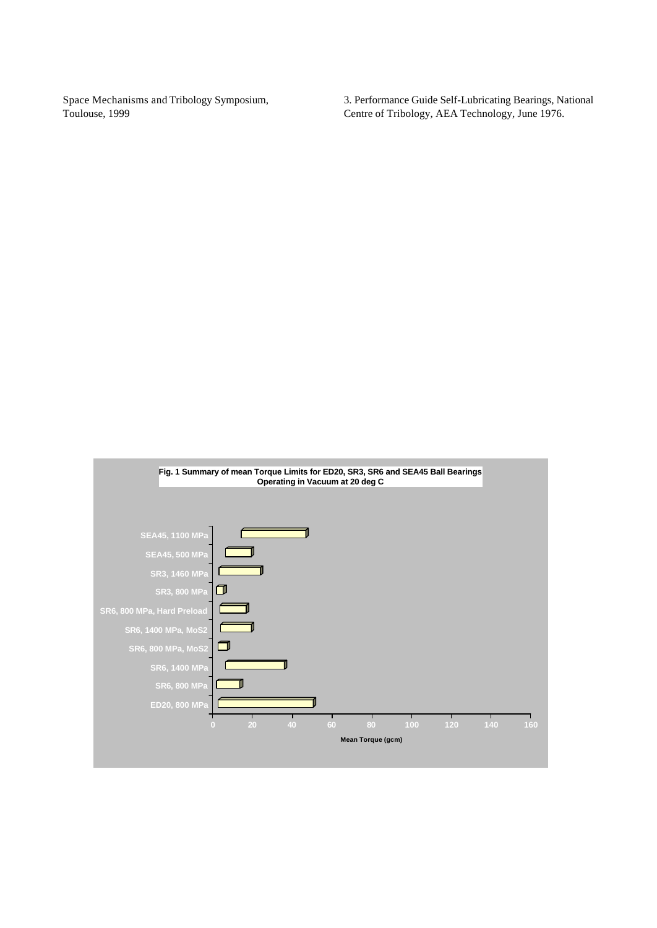Space Mechanisms and Tribology Symposium, Toulouse, 1999

3. Performance Guide Self-Lubricating Bearings, National Centre of Tribology, AEA Technology, June 1976.